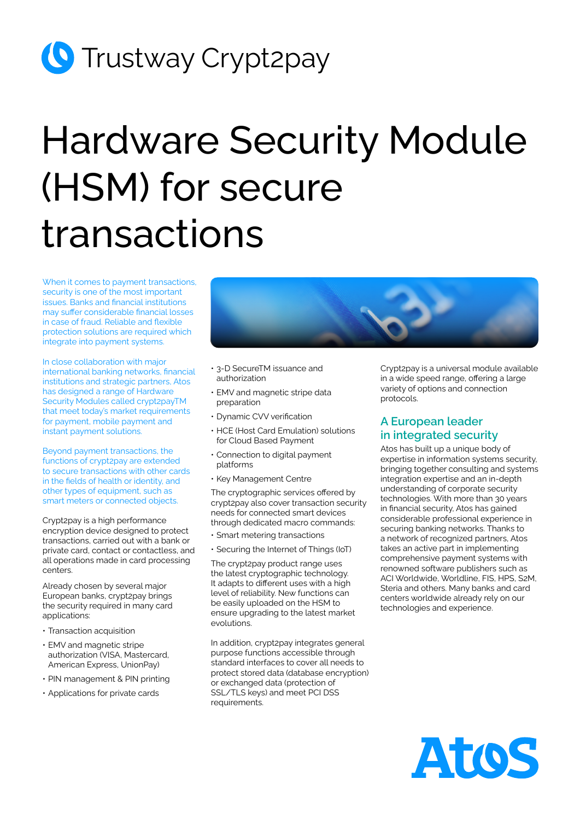## **C** Trustway Crypt2pay

# Hardware Security Module (HSM) for secure transactions

When it comes to payment transactions, security is one of the most important issues. Banks and financial institutions may suffer considerable financial losses in case of fraud. Reliable and flexible protection solutions are required which integrate into payment systems.

In close collaboration with major international banking networks, financial institutions and strategic partners, Atos has designed a range of Hardware Security Modules called crypt2payTM that meet today's market requirements for payment, mobile payment and instant payment solutions.

Beyond payment transactions, the functions of crypt2pay are extended to secure transactions with other cards in the fields of health or identity, and other types of equipment, such as smart meters or connected objects.

Crypt2pay is a high performance encryption device designed to protect transactions, carried out with a bank or private card, contact or contactless, and all operations made in card processing centers.

Already chosen by several major European banks, crypt2pay brings the security required in many card applications:

- Transaction acquisition
- EMV and magnetic stripe authorization (VISA, Mastercard, American Express, UnionPay)
- PIN management & PIN printing
- Applications for private cards



- 3-D SecureTM issuance and authorization
- EMV and magnetic stripe data preparation
- Dynamic CVV verification
- HCE (Host Card Emulation) solutions for Cloud Based Payment
- Connection to digital payment platforms
- Key Management Centre

The cryptographic services offered by crypt2pay also cover transaction security needs for connected smart devices through dedicated macro commands:

- Smart metering transactions
- Securing the Internet of Things (IoT)

The crypt2pay product range uses the latest cryptographic technology. It adapts to different uses with a high level of reliability. New functions can be easily uploaded on the HSM to ensure upgrading to the latest market evolutions.

In addition, crypt2pay integrates general purpose functions accessible through standard interfaces to cover all needs to protect stored data (database encryption) or exchanged data (protection of SSL/TLS keys) and meet PCI DSS requirements.

Crypt2pay is a universal module available in a wide speed range, offering a large variety of options and connection protocols.

#### **A European leader in integrated security**

Atos has built up a unique body of expertise in information systems security, bringing together consulting and systems integration expertise and an in-depth understanding of corporate security technologies. With more than 30 years in financial security, Atos has gained considerable professional experience in securing banking networks. Thanks to a network of recognized partners, Atos takes an active part in implementing comprehensive payment systems with renowned software publishers such as ACI Worldwide, Worldline, FIS, HPS, S2M, Steria and others. Many banks and card centers worldwide already rely on our technologies and experience.